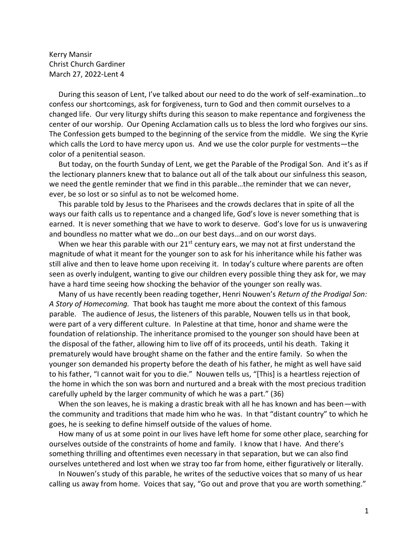Kerry Mansir Christ Church Gardiner March 27, 2022-Lent 4

 During this season of Lent, I've talked about our need to do the work of self-examination…to confess our shortcomings, ask for forgiveness, turn to God and then commit ourselves to a changed life. Our very liturgy shifts during this season to make repentance and forgiveness the center of our worship. Our Opening Acclamation calls us to bless the lord who forgives our sins. The Confession gets bumped to the beginning of the service from the middle. We sing the Kyrie which calls the Lord to have mercy upon us. And we use the color purple for vestments—the color of a penitential season.

 But today, on the fourth Sunday of Lent, we get the Parable of the Prodigal Son. And it's as if the lectionary planners knew that to balance out all of the talk about our sinfulness this season, we need the gentle reminder that we find in this parable…the reminder that we can never, ever, be so lost or so sinful as to not be welcomed home.

 This parable told by Jesus to the Pharisees and the crowds declares that in spite of all the ways our faith calls us to repentance and a changed life, God's love is never something that is earned. It is never something that we have to work to deserve. God's love for us is unwavering and boundless no matter what we do…on our best days…and on our worst days.

When we hear this parable with our  $21^{st}$  century ears, we may not at first understand the magnitude of what it meant for the younger son to ask for his inheritance while his father was still alive and then to leave home upon receiving it. In today's culture where parents are often seen as overly indulgent, wanting to give our children every possible thing they ask for, we may have a hard time seeing how shocking the behavior of the younger son really was.

 Many of us have recently been reading together, Henri Nouwen's *Return of the Prodigal Son: A Story of Homecoming.* That book has taught me more about the context of this famous parable. The audience of Jesus, the listeners of this parable, Nouwen tells us in that book, were part of a very different culture. In Palestine at that time, honor and shame were the foundation of relationship. The inheritance promised to the younger son should have been at the disposal of the father, allowing him to live off of its proceeds, until his death. Taking it prematurely would have brought shame on the father and the entire family. So when the younger son demanded his property before the death of his father, he might as well have said to his father, "I cannot wait for you to die." Nouwen tells us, "[This] is a heartless rejection of the home in which the son was born and nurtured and a break with the most precious tradition carefully upheld by the larger community of which he was a part." (36)

 When the son leaves, he is making a drastic break with all he has known and has been—with the community and traditions that made him who he was. In that "distant country" to which he goes, he is seeking to define himself outside of the values of home.

 How many of us at some point in our lives have left home for some other place, searching for ourselves outside of the constraints of home and family. I know that I have. And there's something thrilling and oftentimes even necessary in that separation, but we can also find ourselves untethered and lost when we stray too far from home, either figuratively or literally.

 In Nouwen's study of this parable, he writes of the seductive voices that so many of us hear calling us away from home. Voices that say, "Go out and prove that you are worth something."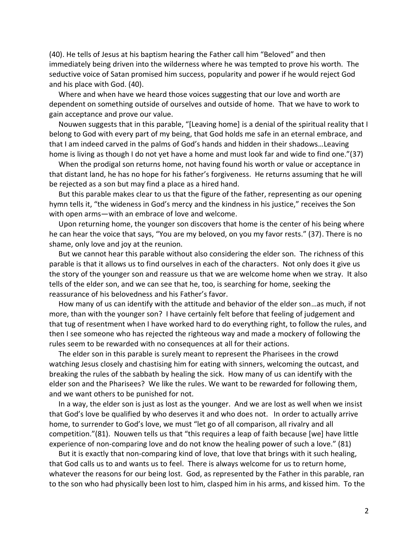(40). He tells of Jesus at his baptism hearing the Father call him "Beloved" and then immediately being driven into the wilderness where he was tempted to prove his worth. The seductive voice of Satan promised him success, popularity and power if he would reject God and his place with God. (40).

 Where and when have we heard those voices suggesting that our love and worth are dependent on something outside of ourselves and outside of home. That we have to work to gain acceptance and prove our value.

 Nouwen suggests that in this parable, "[Leaving home] is a denial of the spiritual reality that I belong to God with every part of my being, that God holds me safe in an eternal embrace, and that I am indeed carved in the palms of God's hands and hidden in their shadows…Leaving home is living as though I do not yet have a home and must look far and wide to find one."(37)

 When the prodigal son returns home, not having found his worth or value or acceptance in that distant land, he has no hope for his father's forgiveness. He returns assuming that he will be rejected as a son but may find a place as a hired hand.

 But this parable makes clear to us that the figure of the father, representing as our opening hymn tells it, "the wideness in God's mercy and the kindness in his justice," receives the Son with open arms—with an embrace of love and welcome.

 Upon returning home, the younger son discovers that home is the center of his being where he can hear the voice that says, "You are my beloved, on you my favor rests." (37). There is no shame, only love and joy at the reunion.

 But we cannot hear this parable without also considering the elder son. The richness of this parable is that it allows us to find ourselves in each of the characters. Not only does it give us the story of the younger son and reassure us that we are welcome home when we stray. It also tells of the elder son, and we can see that he, too, is searching for home, seeking the reassurance of his belovedness and his Father's favor.

 How many of us can identify with the attitude and behavior of the elder son…as much, if not more, than with the younger son? I have certainly felt before that feeling of judgement and that tug of resentment when I have worked hard to do everything right, to follow the rules, and then I see someone who has rejected the righteous way and made a mockery of following the rules seem to be rewarded with no consequences at all for their actions.

 The elder son in this parable is surely meant to represent the Pharisees in the crowd watching Jesus closely and chastising him for eating with sinners, welcoming the outcast, and breaking the rules of the sabbath by healing the sick. How many of us can identify with the elder son and the Pharisees? We like the rules. We want to be rewarded for following them, and we want others to be punished for not.

 In a way, the elder son is just as lost as the younger. And we are lost as well when we insist that God's love be qualified by who deserves it and who does not. In order to actually arrive home, to surrender to God's love, we must "let go of all comparison, all rivalry and all competition."(81). Nouwen tells us that "this requires a leap of faith because [we] have little experience of non-comparing love and do not know the healing power of such a love." (81)

 But it is exactly that non-comparing kind of love, that love that brings with it such healing, that God calls us to and wants us to feel. There is always welcome for us to return home, whatever the reasons for our being lost. God, as represented by the Father in this parable, ran to the son who had physically been lost to him, clasped him in his arms, and kissed him. To the